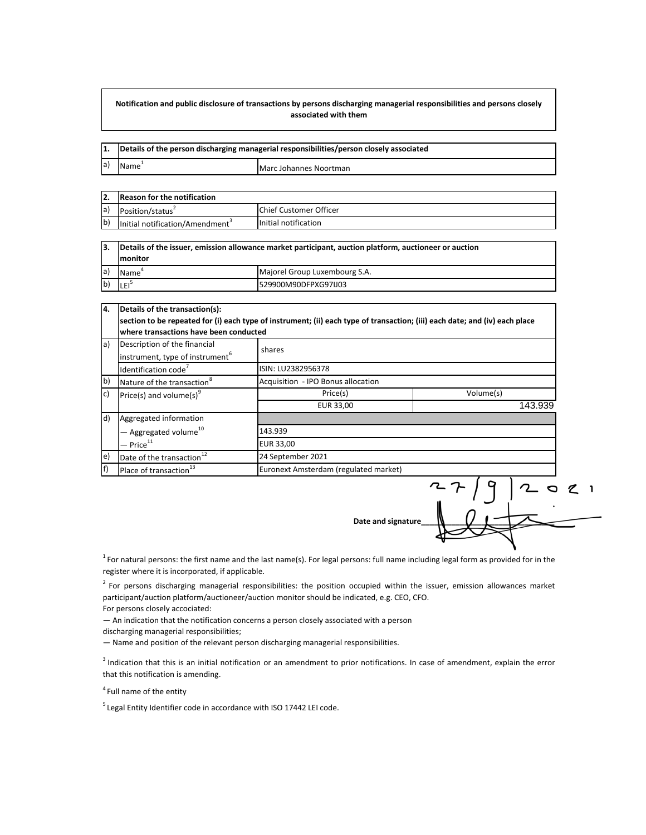## **Notification and public disclosure of transactions by persons discharging managerial responsibilities and persons closely associated with them**

| 11. |                   | Details of the person discharging managerial responsibilities/person closely associated |  |
|-----|-------------------|-----------------------------------------------------------------------------------------|--|
| la) | Name <sup>+</sup> | Marc Johannes Noortman                                                                  |  |

|             | <b>Reason for the notification</b>          |                                |
|-------------|---------------------------------------------|--------------------------------|
| $ a\rangle$ | Position/status <sup>2</sup>                | <b>IChief Customer Officer</b> |
| $ b\rangle$ | Initial notification/Amendment <sup>3</sup> | Initial notification           |

| 13.         |                   | Details of the issuer, emission allowance market participant, auction platform, auctioneer or auction |  |
|-------------|-------------------|-------------------------------------------------------------------------------------------------------|--|
|             | <b>Imonitor</b>   |                                                                                                       |  |
| $ a\rangle$ | Name <sup>®</sup> | Majorel Group Luxembourg S.A.                                                                         |  |
| b)          | 'LEI <sup>5</sup> | 529900M90DFPXG97IJ03                                                                                  |  |

| Details of the transaction(s):                                                                                              |                                        |           |  |  |  |
|-----------------------------------------------------------------------------------------------------------------------------|----------------------------------------|-----------|--|--|--|
| section to be repeated for (i) each type of instrument; (ii) each type of transaction; (iii) each date; and (iv) each place |                                        |           |  |  |  |
|                                                                                                                             | where transactions have been conducted |           |  |  |  |
| Description of the financial<br>$\mathsf{a}$                                                                                | shares                                 |           |  |  |  |
| instrument, type of instrument <sup>6</sup>                                                                                 |                                        |           |  |  |  |
| Identification code <sup>7</sup>                                                                                            | ISIN: LU2382956378                     |           |  |  |  |
| $\mathsf{b}$<br>Nature of the transaction <sup>8</sup>                                                                      | Acquisition - IPO Bonus allocation     |           |  |  |  |
| c)<br>Price(s) and volume(s) <sup>9</sup>                                                                                   | Price(s)                               | Volume(s) |  |  |  |
|                                                                                                                             | EUR 33.00                              | 143.939   |  |  |  |
| d)<br>Aggregated information                                                                                                |                                        |           |  |  |  |
| - Aggregated volume <sup>10</sup>                                                                                           | 143.939                                |           |  |  |  |
| $-$ Price $^{11}$                                                                                                           | <b>EUR 33,00</b>                       |           |  |  |  |
| $\epsilon$ )<br>Date of the transaction <sup>12</sup>                                                                       | 24 September 2021                      |           |  |  |  |
| f)<br>Place of transaction <sup>13</sup>                                                                                    | Euronext Amsterdam (regulated market)  |           |  |  |  |

**Date and signature\_\_\_\_\_\_\_\_\_\_\_\_\_\_\_\_\_\_\_\_\_\_\_\_\_\_\_\_\_\_\_**

0 2 1<br>.

<sup>1</sup> For natural persons: the first name and the last name(s). For legal persons: full name including legal form as provided for in the register where it is incorporated, if applicable.

<sup>2</sup> For persons discharging managerial responsibilities: the position occupied within the issuer, emission allowances market participant/auction platform/auctioneer/auction monitor should be indicated, e.g. CEO, CFO. For persons closely accociated:

— An indication that the notification concerns a person closely associated with a person

discharging managerial responsibilities;

— Name and position of the relevant person discharging managerial responsibilities.

<sup>3</sup> Indication that this is an initial notification or an amendment to prior notifications. In case of amendment, explain the error that this notification is amending.

<sup>4</sup> Full name of the entity

<sup>5</sup> Legal Entity Identifier code in accordance with ISO 17442 LEI code.